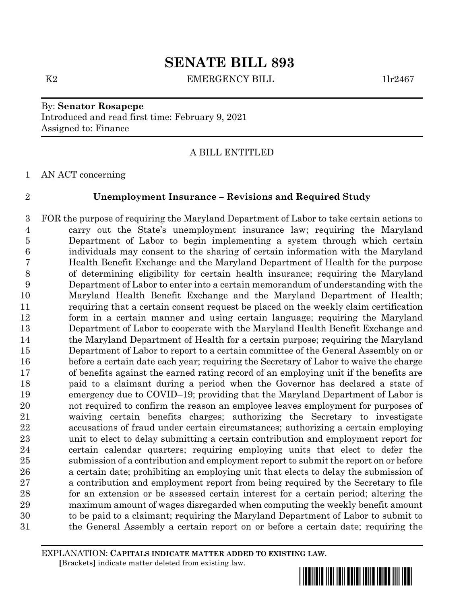# **SENATE BILL 893**

K2 EMERGENCY BILL 1lr2467

# By: **Senator Rosapepe** Introduced and read first time: February 9, 2021 Assigned to: Finance

## A BILL ENTITLED

AN ACT concerning

### **Unemployment Insurance – Revisions and Required Study**

 FOR the purpose of requiring the Maryland Department of Labor to take certain actions to carry out the State's unemployment insurance law; requiring the Maryland Department of Labor to begin implementing a system through which certain individuals may consent to the sharing of certain information with the Maryland Health Benefit Exchange and the Maryland Department of Health for the purpose of determining eligibility for certain health insurance; requiring the Maryland Department of Labor to enter into a certain memorandum of understanding with the Maryland Health Benefit Exchange and the Maryland Department of Health; requiring that a certain consent request be placed on the weekly claim certification form in a certain manner and using certain language; requiring the Maryland Department of Labor to cooperate with the Maryland Health Benefit Exchange and the Maryland Department of Health for a certain purpose; requiring the Maryland Department of Labor to report to a certain committee of the General Assembly on or before a certain date each year; requiring the Secretary of Labor to waive the charge of benefits against the earned rating record of an employing unit if the benefits are paid to a claimant during a period when the Governor has declared a state of emergency due to COVID–19; providing that the Maryland Department of Labor is not required to confirm the reason an employee leaves employment for purposes of waiving certain benefits charges; authorizing the Secretary to investigate accusations of fraud under certain circumstances; authorizing a certain employing unit to elect to delay submitting a certain contribution and employment report for certain calendar quarters; requiring employing units that elect to defer the submission of a contribution and employment report to submit the report on or before a certain date; prohibiting an employing unit that elects to delay the submission of a contribution and employment report from being required by the Secretary to file for an extension or be assessed certain interest for a certain period; altering the maximum amount of wages disregarded when computing the weekly benefit amount to be paid to a claimant; requiring the Maryland Department of Labor to submit to the General Assembly a certain report on or before a certain date; requiring the

EXPLANATION: **CAPITALS INDICATE MATTER ADDED TO EXISTING LAW**.  **[**Brackets**]** indicate matter deleted from existing law.

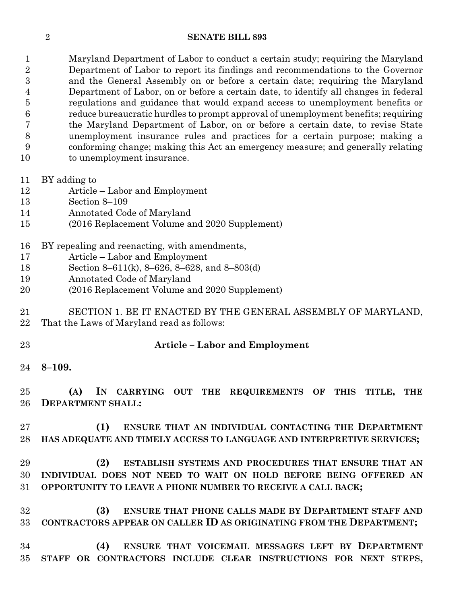#### **SENATE BILL 893**

 Maryland Department of Labor to conduct a certain study; requiring the Maryland Department of Labor to report its findings and recommendations to the Governor and the General Assembly on or before a certain date; requiring the Maryland Department of Labor, on or before a certain date, to identify all changes in federal regulations and guidance that would expand access to unemployment benefits or reduce bureaucratic hurdles to prompt approval of unemployment benefits; requiring the Maryland Department of Labor, on or before a certain date, to revise State unemployment insurance rules and practices for a certain purpose; making a conforming change; making this Act an emergency measure; and generally relating to unemployment insurance.

- BY adding to
- Article Labor and Employment
- Section 8–109
- Annotated Code of Maryland
- (2016 Replacement Volume and 2020 Supplement)
- BY repealing and reenacting, with amendments,
- Article Labor and Employment
- Section 8–611(k), 8–626, 8–628, and 8–803(d)
- Annotated Code of Maryland
- (2016 Replacement Volume and 2020 Supplement)
- SECTION 1. BE IT ENACTED BY THE GENERAL ASSEMBLY OF MARYLAND, That the Laws of Maryland read as follows:
- 

# **Article – Labor and Employment**

**8–109.**

 **(A) IN CARRYING OUT THE REQUIREMENTS OF THIS TITLE, THE DEPARTMENT SHALL:**

 **(1) ENSURE THAT AN INDIVIDUAL CONTACTING THE DEPARTMENT HAS ADEQUATE AND TIMELY ACCESS TO LANGUAGE AND INTERPRETIVE SERVICES;**

 **(2) ESTABLISH SYSTEMS AND PROCEDURES THAT ENSURE THAT AN INDIVIDUAL DOES NOT NEED TO WAIT ON HOLD BEFORE BEING OFFERED AN OPPORTUNITY TO LEAVE A PHONE NUMBER TO RECEIVE A CALL BACK;**

 **(3) ENSURE THAT PHONE CALLS MADE BY DEPARTMENT STAFF AND CONTRACTORS APPEAR ON CALLER ID AS ORIGINATING FROM THE DEPARTMENT;**

 **(4) ENSURE THAT VOICEMAIL MESSAGES LEFT BY DEPARTMENT STAFF OR CONTRACTORS INCLUDE CLEAR INSTRUCTIONS FOR NEXT STEPS,**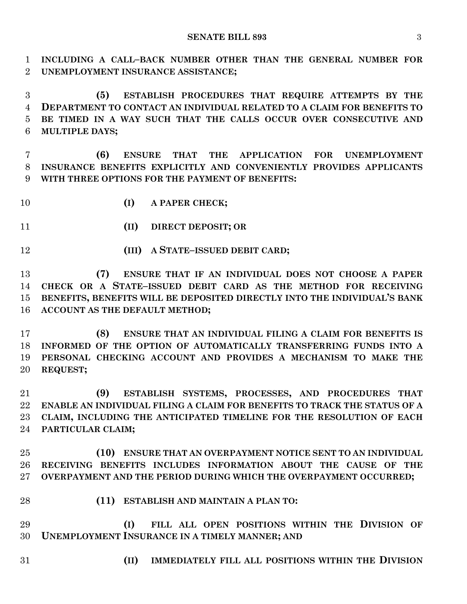**INCLUDING A CALL–BACK NUMBER OTHER THAN THE GENERAL NUMBER FOR UNEMPLOYMENT INSURANCE ASSISTANCE;**

 **(5) ESTABLISH PROCEDURES THAT REQUIRE ATTEMPTS BY THE DEPARTMENT TO CONTACT AN INDIVIDUAL RELATED TO A CLAIM FOR BENEFITS TO BE TIMED IN A WAY SUCH THAT THE CALLS OCCUR OVER CONSECUTIVE AND MULTIPLE DAYS;**

 **(6) ENSURE THAT THE APPLICATION FOR UNEMPLOYMENT INSURANCE BENEFITS EXPLICITLY AND CONVENIENTLY PROVIDES APPLICANTS WITH THREE OPTIONS FOR THE PAYMENT OF BENEFITS:**

**(I) A PAPER CHECK;**

**(II) DIRECT DEPOSIT; OR**

**(III) A STATE–ISSUED DEBIT CARD;**

 **(7) ENSURE THAT IF AN INDIVIDUAL DOES NOT CHOOSE A PAPER CHECK OR A STATE–ISSUED DEBIT CARD AS THE METHOD FOR RECEIVING BENEFITS, BENEFITS WILL BE DEPOSITED DIRECTLY INTO THE INDIVIDUAL'S BANK ACCOUNT AS THE DEFAULT METHOD;**

 **(8) ENSURE THAT AN INDIVIDUAL FILING A CLAIM FOR BENEFITS IS INFORMED OF THE OPTION OF AUTOMATICALLY TRANSFERRING FUNDS INTO A PERSONAL CHECKING ACCOUNT AND PROVIDES A MECHANISM TO MAKE THE REQUEST;**

 **(9) ESTABLISH SYSTEMS, PROCESSES, AND PROCEDURES THAT ENABLE AN INDIVIDUAL FILING A CLAIM FOR BENEFITS TO TRACK THE STATUS OF A CLAIM, INCLUDING THE ANTICIPATED TIMELINE FOR THE RESOLUTION OF EACH PARTICULAR CLAIM;**

 **(10) ENSURE THAT AN OVERPAYMENT NOTICE SENT TO AN INDIVIDUAL RECEIVING BENEFITS INCLUDES INFORMATION ABOUT THE CAUSE OF THE OVERPAYMENT AND THE PERIOD DURING WHICH THE OVERPAYMENT OCCURRED;**

- **(11) ESTABLISH AND MAINTAIN A PLAN TO:**
- **(I) FILL ALL OPEN POSITIONS WITHIN THE DIVISION OF UNEMPLOYMENT INSURANCE IN A TIMELY MANNER; AND**
- 
- **(II) IMMEDIATELY FILL ALL POSITIONS WITHIN THE DIVISION**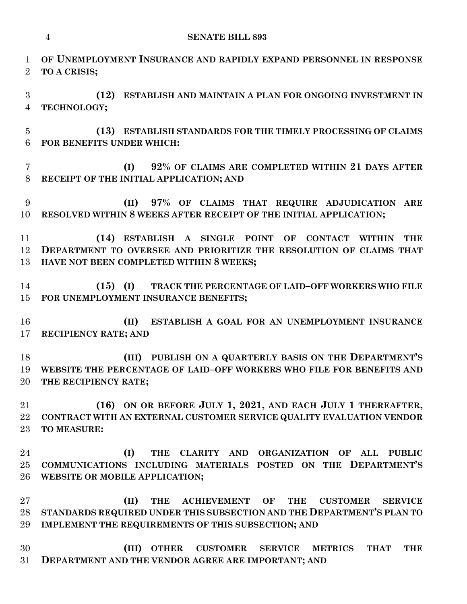| $\mathbf{1}$<br>$\overline{2}$ | OF UNEMPLOYMENT INSURANCE AND RAPIDLY EXPAND PERSONNEL IN RESPONSE<br>TO A CRISIS;                                                                                                                                 |
|--------------------------------|--------------------------------------------------------------------------------------------------------------------------------------------------------------------------------------------------------------------|
| 3<br>$\overline{4}$            | ESTABLISH AND MAINTAIN A PLAN FOR ONGOING INVESTMENT IN<br>(12)<br>TECHNOLOGY;                                                                                                                                     |
| $\overline{5}$<br>6            | (13) ESTABLISH STANDARDS FOR THE TIMELY PROCESSING OF CLAIMS<br>FOR BENEFITS UNDER WHICH:                                                                                                                          |
| $\overline{7}$<br>$8\,$        | 92% OF CLAIMS ARE COMPLETED WITHIN 21 DAYS AFTER<br>(I)<br>RECEIPT OF THE INITIAL APPLICATION; AND                                                                                                                 |
| 9<br>10                        | (II) 97% OF CLAIMS THAT REQUIRE ADJUDICATION ARE<br>RESOLVED WITHIN 8 WEEKS AFTER RECEIPT OF THE INITIAL APPLICATION;                                                                                              |
| 11<br>12<br>13                 | (14)<br>ESTABLISH A SINGLE POINT OF<br><b>CONTACT</b><br><b>THE</b><br><b>WITHIN</b><br>DEPARTMENT TO OVERSEE AND PRIORITIZE THE RESOLUTION OF CLAIMS THAT<br>HAVE NOT BEEN COMPLETED WITHIN 8 WEEKS;              |
| 14<br>15                       | $(15)$ (I)<br>TRACK THE PERCENTAGE OF LAID-OFF WORKERS WHO FILE<br>FOR UNEMPLOYMENT INSURANCE BENEFITS;                                                                                                            |
| 16<br>17                       | ESTABLISH A GOAL FOR AN UNEMPLOYMENT INSURANCE<br>(II)<br><b>RECIPIENCY RATE; AND</b>                                                                                                                              |
| 18<br>19<br>20                 | PUBLISH ON A QUARTERLY BASIS ON THE DEPARTMENT'S<br>(III)<br>WEBSITE THE PERCENTAGE OF LAID-OFF WORKERS WHO FILE FOR BENEFITS AND<br>THE RECIPIENCY RATE:                                                          |
| 21<br>22<br>$23\,$             | (16) ON OR BEFORE JULY 1, 2021, AND EACH JULY 1 THEREAFTER,<br>CONTRACT WITH AN EXTERNAL CUSTOMER SERVICE QUALITY EVALUATION VENDOR<br><b>TO MEASURE:</b>                                                          |
| 24<br>25<br>26                 | (I)<br>CLARITY AND ORGANIZATION<br><b>THE</b><br>OF<br><b>ALL</b><br><b>PUBLIC</b><br>COMMUNICATIONS INCLUDING MATERIALS POSTED ON THE DEPARTMENT'S<br>WEBSITE OR MOBILE APPLICATION;                              |
| $27\,$<br>28<br>29             | (II)<br><b>ACHIEVEMENT</b><br>OF<br>THE<br>THE<br><b>CUSTOMER</b><br><b>SERVICE</b><br>STANDARDS REQUIRED UNDER THIS SUBSECTION AND THE DEPARTMENT'S PLAN TO<br>IMPLEMENT THE REQUIREMENTS OF THIS SUBSECTION; AND |
| 30<br>$31\,$                   | (III)<br><b>OTHER</b><br><b>CUSTOMER</b><br><b>METRICS</b><br><b>SERVICE</b><br><b>THAT</b><br><b>THE</b><br>DEPARTMENT AND THE VENDOR AGREE ARE IMPORTANT; AND                                                    |

**SENATE BILL 893**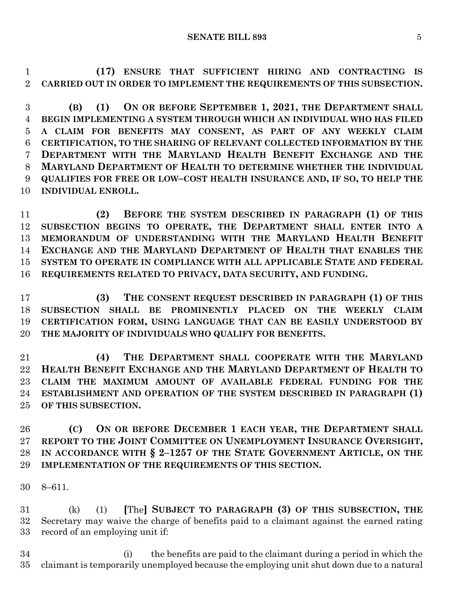**(17) ENSURE THAT SUFFICIENT HIRING AND CONTRACTING IS CARRIED OUT IN ORDER TO IMPLEMENT THE REQUIREMENTS OF THIS SUBSECTION.**

 **(B) (1) ON OR BEFORE SEPTEMBER 1, 2021, THE DEPARTMENT SHALL BEGIN IMPLEMENTING A SYSTEM THROUGH WHICH AN INDIVIDUAL WHO HAS FILED A CLAIM FOR BENEFITS MAY CONSENT, AS PART OF ANY WEEKLY CLAIM CERTIFICATION, TO THE SHARING OF RELEVANT COLLECTED INFORMATION BY THE DEPARTMENT WITH THE MARYLAND HEALTH BENEFIT EXCHANGE AND THE MARYLAND DEPARTMENT OF HEALTH TO DETERMINE WHETHER THE INDIVIDUAL QUALIFIES FOR FREE OR LOW–COST HEALTH INSURANCE AND, IF SO, TO HELP THE INDIVIDUAL ENROLL.**

 **(2) BEFORE THE SYSTEM DESCRIBED IN PARAGRAPH (1) OF THIS SUBSECTION BEGINS TO OPERATE, THE DEPARTMENT SHALL ENTER INTO A MEMORANDUM OF UNDERSTANDING WITH THE MARYLAND HEALTH BENEFIT EXCHANGE AND THE MARYLAND DEPARTMENT OF HEALTH THAT ENABLES THE SYSTEM TO OPERATE IN COMPLIANCE WITH ALL APPLICABLE STATE AND FEDERAL REQUIREMENTS RELATED TO PRIVACY, DATA SECURITY, AND FUNDING.**

 **(3) THE CONSENT REQUEST DESCRIBED IN PARAGRAPH (1) OF THIS SUBSECTION SHALL BE PROMINENTLY PLACED ON THE WEEKLY CLAIM CERTIFICATION FORM, USING LANGUAGE THAT CAN BE EASILY UNDERSTOOD BY THE MAJORITY OF INDIVIDUALS WHO QUALIFY FOR BENEFITS.**

 **(4) THE DEPARTMENT SHALL COOPERATE WITH THE MARYLAND HEALTH BENEFIT EXCHANGE AND THE MARYLAND DEPARTMENT OF HEALTH TO CLAIM THE MAXIMUM AMOUNT OF AVAILABLE FEDERAL FUNDING FOR THE ESTABLISHMENT AND OPERATION OF THE SYSTEM DESCRIBED IN PARAGRAPH (1) OF THIS SUBSECTION.**

 **(C) ON OR BEFORE DECEMBER 1 EACH YEAR, THE DEPARTMENT SHALL REPORT TO THE JOINT COMMITTEE ON UNEMPLOYMENT INSURANCE OVERSIGHT, IN ACCORDANCE WITH § 2–1257 OF THE STATE GOVERNMENT ARTICLE, ON THE IMPLEMENTATION OF THE REQUIREMENTS OF THIS SECTION.**

8–611.

 (k) (1) **[**The**] SUBJECT TO PARAGRAPH (3) OF THIS SUBSECTION, THE** Secretary may waive the charge of benefits paid to a claimant against the earned rating record of an employing unit if:

 (i) the benefits are paid to the claimant during a period in which the claimant is temporarily unemployed because the employing unit shut down due to a natural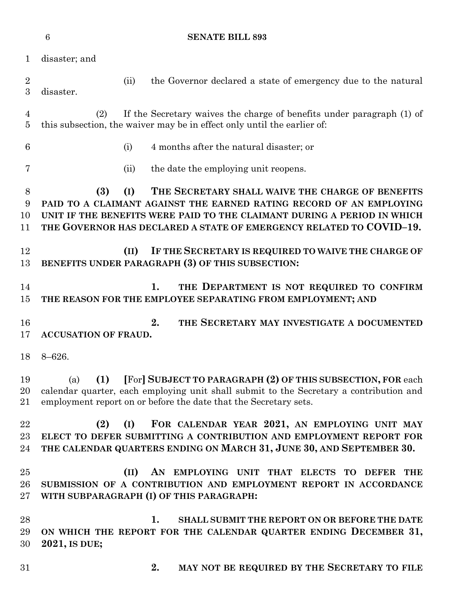|                       | $6\phantom{1}6$<br><b>SENATE BILL 893</b>                                                                                                                                                                                                                                               |  |  |  |  |
|-----------------------|-----------------------------------------------------------------------------------------------------------------------------------------------------------------------------------------------------------------------------------------------------------------------------------------|--|--|--|--|
| $\mathbf{1}$          | disaster; and                                                                                                                                                                                                                                                                           |  |  |  |  |
| $\boldsymbol{2}$<br>3 | the Governor declared a state of emergency due to the natural<br>(ii)<br>disaster.                                                                                                                                                                                                      |  |  |  |  |
| 4<br>$\overline{5}$   | If the Secretary waives the charge of benefits under paragraph (1) of<br>(2)<br>this subsection, the waiver may be in effect only until the earlier of:                                                                                                                                 |  |  |  |  |
| 6                     | 4 months after the natural disaster; or<br>(i)                                                                                                                                                                                                                                          |  |  |  |  |
| 7                     | the date the employing unit reopens.<br>(ii)                                                                                                                                                                                                                                            |  |  |  |  |
| 8<br>9<br>10<br>11    | (3)<br>(I)<br>THE SECRETARY SHALL WAIVE THE CHARGE OF BENEFITS<br>PAID TO A CLAIMANT AGAINST THE EARNED RATING RECORD OF AN EMPLOYING<br>UNIT IF THE BENEFITS WERE PAID TO THE CLAIMANT DURING A PERIOD IN WHICH<br>THE GOVERNOR HAS DECLARED A STATE OF EMERGENCY RELATED TO COVID-19. |  |  |  |  |
| 12<br>13              | (II)<br>IF THE SECRETARY IS REQUIRED TO WAIVE THE CHARGE OF<br>BENEFITS UNDER PARAGRAPH (3) OF THIS SUBSECTION:                                                                                                                                                                         |  |  |  |  |
| 14<br>15              | 1.<br>THE DEPARTMENT IS NOT REQUIRED TO CONFIRM<br>THE REASON FOR THE EMPLOYEE SEPARATING FROM EMPLOYMENT; AND                                                                                                                                                                          |  |  |  |  |
| 16<br>17              | 2.<br>THE SECRETARY MAY INVESTIGATE A DOCUMENTED<br><b>ACCUSATION OF FRAUD.</b>                                                                                                                                                                                                         |  |  |  |  |
| 18                    | $8 - 626.$                                                                                                                                                                                                                                                                              |  |  |  |  |
| 19<br>20<br>21        | [For] SUBJECT TO PARAGRAPH (2) OF THIS SUBSECTION, FOR each<br>(1)<br>(a)<br>calendar quarter, each employing unit shall submit to the Secretary a contribution and<br>employment report on or before the date that the Secretary sets.                                                 |  |  |  |  |
| 22<br>23<br>24        | (2)<br>FOR CALENDAR YEAR 2021, AN EMPLOYING UNIT MAY<br>(I)<br>ELECT TO DEFER SUBMITTING A CONTRIBUTION AND EMPLOYMENT REPORT FOR<br>THE CALENDAR QUARTERS ENDING ON MARCH 31, JUNE 30, AND SEPTEMBER 30.                                                                               |  |  |  |  |
| 25<br>26<br>27        | AN EMPLOYING UNIT THAT ELECTS TO DEFER THE<br>(II)<br>SUBMISSION OF A CONTRIBUTION AND EMPLOYMENT REPORT IN ACCORDANCE<br>WITH SUBPARAGRAPH (I) OF THIS PARAGRAPH:                                                                                                                      |  |  |  |  |
| 28<br>29<br>30        | 1.<br>SHALL SUBMIT THE REPORT ON OR BEFORE THE DATE<br>ON WHICH THE REPORT FOR THE CALENDAR QUARTER ENDING DECEMBER 31,<br>2021, IS DUE;                                                                                                                                                |  |  |  |  |
| 31                    | 2.<br>MAY NOT BE REQUIRED BY THE SECRETARY TO FILE                                                                                                                                                                                                                                      |  |  |  |  |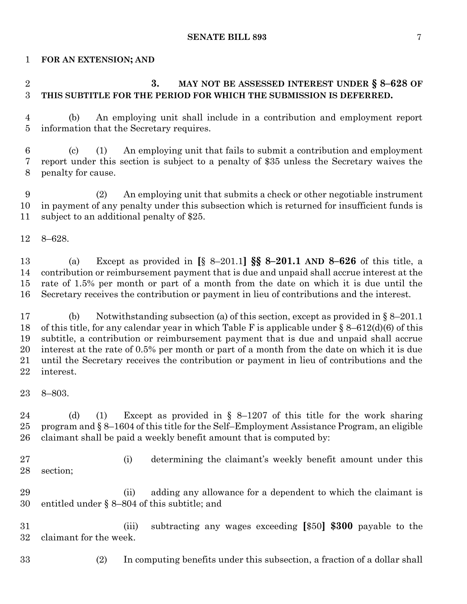#### **SENATE BILL 893** 7

#### **FOR AN EXTENSION; AND**

# **3. MAY NOT BE ASSESSED INTEREST UNDER § 8–628 OF THIS SUBTITLE FOR THE PERIOD FOR WHICH THE SUBMISSION IS DEFERRED.**

 (b) An employing unit shall include in a contribution and employment report information that the Secretary requires.

 (c) (1) An employing unit that fails to submit a contribution and employment report under this section is subject to a penalty of \$35 unless the Secretary waives the penalty for cause.

 (2) An employing unit that submits a check or other negotiable instrument in payment of any penalty under this subsection which is returned for insufficient funds is subject to an additional penalty of \$25.

8–628.

 (a) Except as provided in **[**§ 8–201.1**] §§ 8–201.1 AND 8–626** of this title, a contribution or reimbursement payment that is due and unpaid shall accrue interest at the rate of 1.5% per month or part of a month from the date on which it is due until the Secretary receives the contribution or payment in lieu of contributions and the interest.

 (b) Notwithstanding subsection (a) of this section, except as provided in § 8–201.1 of this title, for any calendar year in which Table F is applicable under § 8–612(d)(6) of this subtitle, a contribution or reimbursement payment that is due and unpaid shall accrue interest at the rate of 0.5% per month or part of a month from the date on which it is due until the Secretary receives the contribution or payment in lieu of contributions and the interest.

 (d) (1) Except as provided in § 8–1207 of this title for the work sharing program and § 8–1604 of this title for the Self–Employment Assistance Program, an eligible claimant shall be paid a weekly benefit amount that is computed by:

 (i) determining the claimant's weekly benefit amount under this section;

 (ii) adding any allowance for a dependent to which the claimant is entitled under § 8–804 of this subtitle; and

 (iii) subtracting any wages exceeding **[**\$50**] \$300** payable to the claimant for the week.

(2) In computing benefits under this subsection, a fraction of a dollar shall

8–803.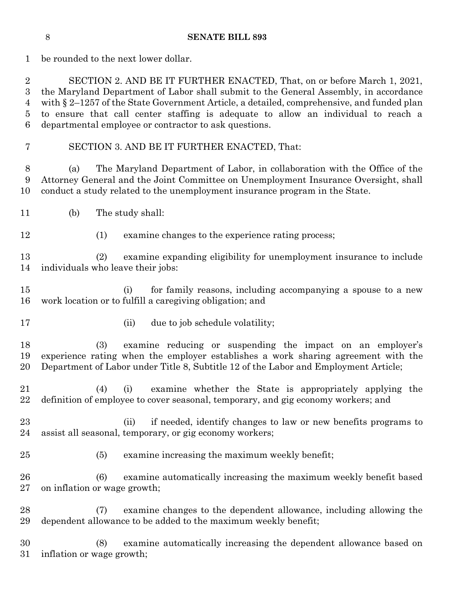be rounded to the next lower dollar.

 SECTION 2. AND BE IT FURTHER ENACTED, That, on or before March 1, 2021, the Maryland Department of Labor shall submit to the General Assembly, in accordance with § 2–1257 of the State Government Article, a detailed, comprehensive, and funded plan to ensure that call center staffing is adequate to allow an individual to reach a departmental employee or contractor to ask questions.

SECTION 3. AND BE IT FURTHER ENACTED, That:

 (a) The Maryland Department of Labor, in collaboration with the Office of the Attorney General and the Joint Committee on Unemployment Insurance Oversight, shall conduct a study related to the unemployment insurance program in the State.

- (b) The study shall:
- (1) examine changes to the experience rating process;

 (2) examine expanding eligibility for unemployment insurance to include individuals who leave their jobs:

 (i) for family reasons, including accompanying a spouse to a new work location or to fulfill a caregiving obligation; and

- 
- 17 (ii) due to job schedule volatility;

 (3) examine reducing or suspending the impact on an employer's experience rating when the employer establishes a work sharing agreement with the Department of Labor under Title 8, Subtitle 12 of the Labor and Employment Article;

- (4) (i) examine whether the State is appropriately applying the definition of employee to cover seasonal, temporary, and gig economy workers; and
- (ii) if needed, identify changes to law or new benefits programs to assist all seasonal, temporary, or gig economy workers;
- (5) examine increasing the maximum weekly benefit;
- (6) examine automatically increasing the maximum weekly benefit based on inflation or wage growth;
- (7) examine changes to the dependent allowance, including allowing the dependent allowance to be added to the maximum weekly benefit;

 (8) examine automatically increasing the dependent allowance based on inflation or wage growth;